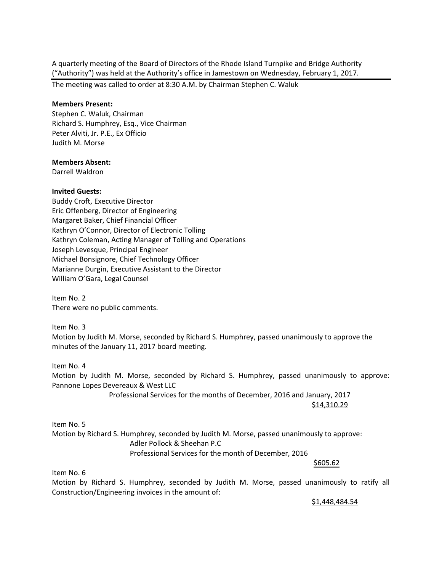A quarterly meeting of the Board of Directors of the Rhode Island Turnpike and Bridge Authority ("Authority") was held at the Authority's office in Jamestown on Wednesday, February 1, 2017.

The meeting was called to order at 8:30 A.M. by Chairman Stephen C. Waluk

#### **Members Present:**

Stephen C. Waluk, Chairman Richard S. Humphrey, Esq., Vice Chairman Peter Alviti, Jr. P.E., Ex Officio Judith M. Morse

### **Members Absent:**

Darrell Waldron

### **Invited Guests:**

Buddy Croft, Executive Director Eric Offenberg, Director of Engineering Margaret Baker, Chief Financial Officer Kathryn O'Connor, Director of Electronic Tolling Kathryn Coleman, Acting Manager of Tolling and Operations Joseph Levesque, Principal Engineer Michael Bonsignore, Chief Technology Officer Marianne Durgin, Executive Assistant to the Director William O'Gara, Legal Counsel

Item No. 2 There were no public comments.

Item No. 3 Motion by Judith M. Morse, seconded by Richard S. Humphrey, passed unanimously to approve the minutes of the January 11, 2017 board meeting.

Item No. 4

Motion by Judith M. Morse, seconded by Richard S. Humphrey, passed unanimously to approve: Pannone Lopes Devereaux & West LLC

> Professional Services for the months of December, 2016 and January, 2017 \$14,310.29

Item No. 5 Motion by Richard S. Humphrey, seconded by Judith M. Morse, passed unanimously to approve: Adler Pollock & Sheehan P.C Professional Services for the month of December, 2016  $\frac{\textstyle 5605.62}{\textstyle \,\, 5605.62}$ 

Item No. 6

Motion by Richard S. Humphrey, seconded by Judith M. Morse, passed unanimously to ratify all Construction/Engineering invoices in the amount of:

\$1,448,484.54